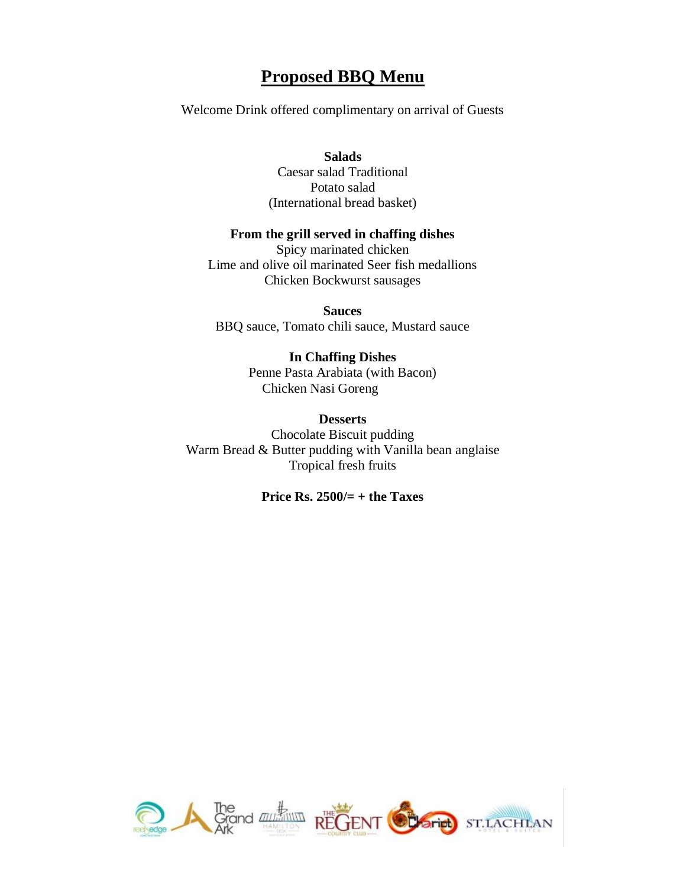# **Proposed BBQ Menu**

Welcome Drink offered complimentary on arrival of Guests

**Salads** Caesar salad Traditional Potato salad (International bread basket)

### **From the grill served in chaffing dishes**

Spicy marinated chicken Lime and olive oil marinated Seer fish medallions Chicken Bockwurst sausages

**Sauces** BBQ sauce, Tomato chili sauce, Mustard sauce

#### **In Chaffing Dishes**

Penne Pasta Arabiata (with Bacon) Chicken Nasi Goreng

# **Desserts**

Chocolate Biscuit pudding Warm Bread & Butter pudding with Vanilla bean anglaise Tropical fresh fruits

### **Price Rs. 2500/= + the Taxes**

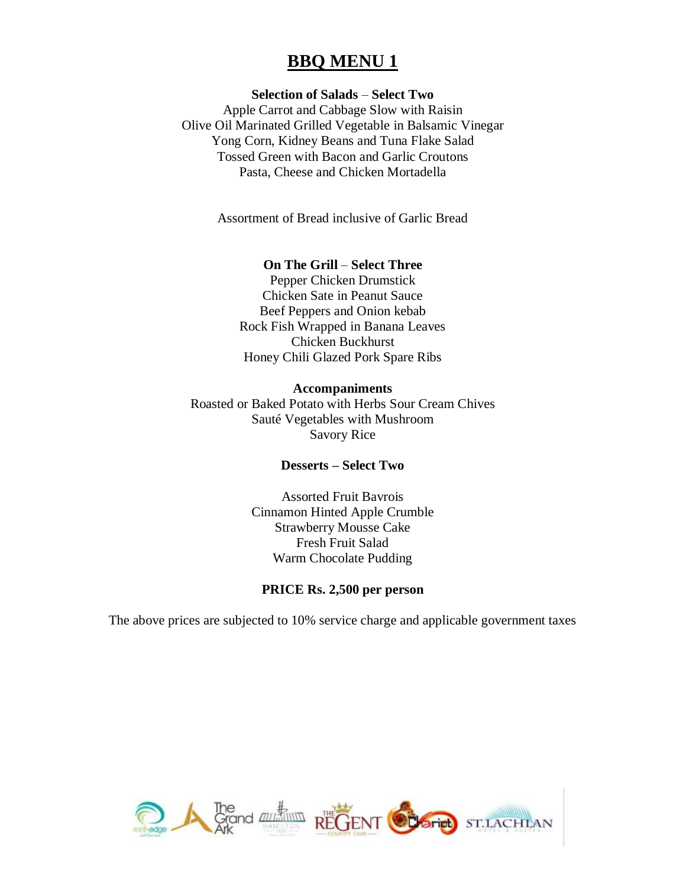# **BBQ MENU 1**

## **Selection of Salads** – **Select Two**

Apple Carrot and Cabbage Slow with Raisin Olive Oil Marinated Grilled Vegetable in Balsamic Vinegar Yong Corn, Kidney Beans and Tuna Flake Salad Tossed Green with Bacon and Garlic Croutons Pasta, Cheese and Chicken Mortadella

Assortment of Bread inclusive of Garlic Bread

#### **On The Grill** – **Select Three**

Pepper Chicken Drumstick Chicken Sate in Peanut Sauce Beef Peppers and Onion kebab Rock Fish Wrapped in Banana Leaves Chicken Buckhurst Honey Chili Glazed Pork Spare Ribs

#### **Accompaniments**

Roasted or Baked Potato with Herbs Sour Cream Chives Sauté Vegetables with Mushroom Savory Rice

#### **Desserts – Select Two**

Assorted Fruit Bavrois Cinnamon Hinted Apple Crumble Strawberry Mousse Cake Fresh Fruit Salad Warm Chocolate Pudding

# **PRICE Rs. 2,500 per person**

The above prices are subjected to 10% service charge and applicable government taxes

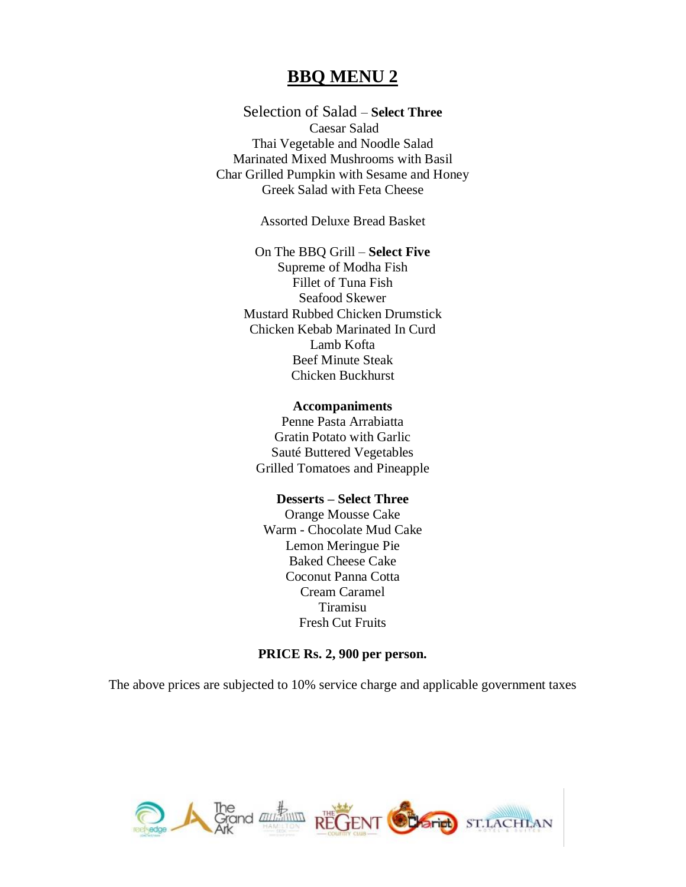# **BBQ MENU 2**

Selection of Salad – **Select Three** Caesar Salad Thai Vegetable and Noodle Salad Marinated Mixed Mushrooms with Basil Char Grilled Pumpkin with Sesame and Honey Greek Salad with Feta Cheese

Assorted Deluxe Bread Basket

On The BBQ Grill – **Select Five** Supreme of Modha Fish Fillet of Tuna Fish Seafood Skewer Mustard Rubbed Chicken Drumstick Chicken Kebab Marinated In Curd Lamb Kofta Beef Minute Steak Chicken Buckhurst

#### **Accompaniments**

Penne Pasta Arrabiatta Gratin Potato with Garlic Sauté Buttered Vegetables Grilled Tomatoes and Pineapple

# **Desserts – Select Three**

Orange Mousse Cake Warm - Chocolate Mud Cake Lemon Meringue Pie Baked Cheese Cake Coconut Panna Cotta Cream Caramel Tiramisu Fresh Cut Fruits

#### **PRICE Rs. 2, 900 per person.**

The above prices are subjected to 10% service charge and applicable government taxes